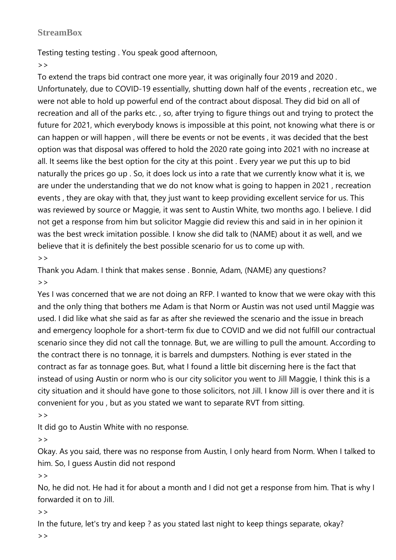## **StreamBox**

Testing testing testing . You speak good afternoon,

 $>$ 

To extend the traps bid contract one more year, it was originally four 2019 and 2020 . Unfortunately, due to COVID-19 essentially, shutting down half of the events , recreation etc., we were not able to hold up powerful end of the contract about disposal. They did bid on all of recreation and all of the parks etc. , so, after trying to figure things out and trying to protect the future for 2021, which everybody knows is impossible at this point, not knowing what there is or can happen or will happen , will there be events or not be events , it was decided that the best option was that disposal was offered to hold the 2020 rate going into 2021 with no increase at all. It seems like the best option for the city at this point . Every year we put this up to bid naturally the prices go up . So, it does lock us into a rate that we currently know what it is, we are under the understanding that we do not know what is going to happen in 2021 , recreation events , they are okay with that, they just want to keep providing excellent service for us. This was reviewed by source or Maggie, it was sent to Austin White, two months ago. I believe. I did not get a response from him but solicitor Maggie did review this and said in in her opinion it was the best wreck imitation possible. I know she did talk to (NAME) about it as well, and we believe that it is definitely the best possible scenario for us to come up with.  $>$ 

Thank you Adam. I think that makes sense . Bonnie, Adam, (NAME) any questions?  $\geq$ 

Yes I was concerned that we are not doing an RFP. I wanted to know that we were okay with this and the only thing that bothers me Adam is that Norm or Austin was not used until Maggie was used. I did like what she said as far as after she reviewed the scenario and the issue in breach and emergency loophole for a short-term fix due to COVID and we did not fulfill our contractual scenario since they did not call the tonnage. But, we are willing to pull the amount. According to the contract there is no tonnage, it is barrels and dumpsters. Nothing is ever stated in the contract as far as tonnage goes. But, what I found a little bit discerning here is the fact that instead of using Austin or norm who is our city solicitor you went to Jill Maggie, I think this is a city situation and it should have gone to those solicitors, not Jill. I know Jill is over there and it is convenient for you , but as you stated we want to separate RVT from sitting.

 $>$ 

It did go to Austin White with no response.

 $\geq$ 

Okay. As you said, there was no response from Austin, I only heard from Norm. When I talked to him. So, I guess Austin did not respond

 $>$ 

No, he did not. He had it for about a month and I did not get a response from him. That is why I forwarded it on to Jill.

 $>$ 

In the future, let's try and keep ? as you stated last night to keep things separate, okay?

 $\geq$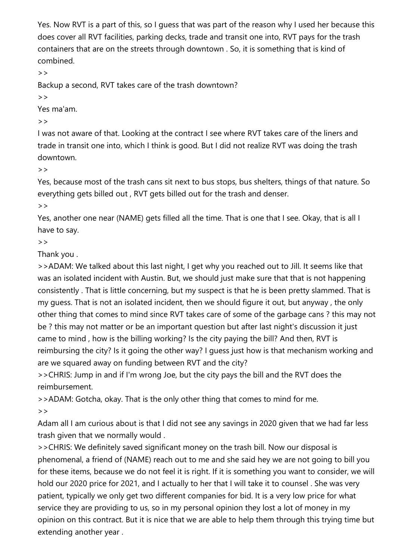Yes. Now RVT is a part of this, so I guess that was part of the reason why I used her because this does cover all RVT facilities, parking decks, trade and transit one into, RVT pays for the trash containers that are on the streets through downtown . So, it is something that is kind of combined.

 $>$ 

Backup a second, RVT takes care of the trash downtown?

 $\geq$ 

Yes ma'am.

 $\rightarrow$ 

I was not aware of that. Looking at the contract I see where RVT takes care of the liners and trade in transit one into, which I think is good. But I did not realize RVT was doing the trash downtown.

 $>$ 

Yes, because most of the trash cans sit next to bus stops, bus shelters, things of that nature. So everything gets billed out , RVT gets billed out for the trash and denser.

 $>$ 

Yes, another one near (NAME) gets filled all the time. That is one that I see. Okay, that is all I have to say.

 $>$ 

Thank you .

>>ADAM: We talked about this last night, I get why you reached out to Jill. It seems like that was an isolated incident with Austin. But, we should just make sure that that is not happening consistently . That is little concerning, but my suspect is that he is been pretty slammed. That is my guess. That is not an isolated incident, then we should figure it out, but anyway , the only other thing that comes to mind since RVT takes care of some of the garbage cans ? this may not be ? this may not matter or be an important question but after last night's discussion it just came to mind , how is the billing working? Is the city paying the bill? And then, RVT is reimbursing the city? Is it going the other way? I guess just how is that mechanism working and are we squared away on funding between RVT and the city?

>>CHRIS: Jump in and if I'm wrong Joe, but the city pays the bill and the RVT does the reimbursement.

>>ADAM: Gotcha, okay. That is the only other thing that comes to mind for me.  $>$ 

Adam all I am curious about is that I did not see any savings in 2020 given that we had far less trash given that we normally would .

>>CHRIS: We definitely saved significant money on the trash bill. Now our disposal is phenomenal, a friend of (NAME) reach out to me and she said hey we are not going to bill you for these items, because we do not feel it is right. If it is something you want to consider, we will hold our 2020 price for 2021, and I actually to her that I will take it to counsel . She was very patient, typically we only get two different companies for bid. It is a very low price for what service they are providing to us, so in my personal opinion they lost a lot of money in my opinion on this contract. But it is nice that we are able to help them through this trying time but extending another year .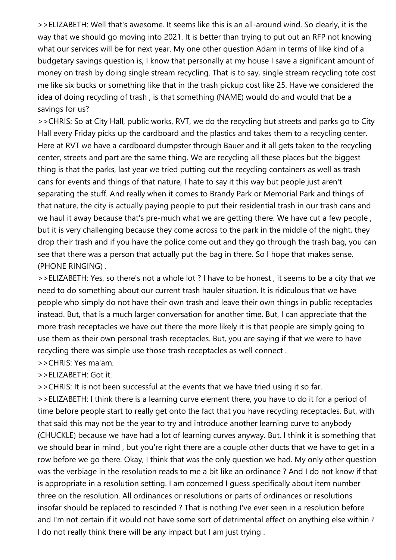>>ELIZABETH: Well that's awesome. It seems like this is an all-around wind. So clearly, it is the way that we should go moving into 2021. It is better than trying to put out an RFP not knowing what our services will be for next year. My one other question Adam in terms of like kind of a budgetary savings question is, I know that personally at my house I save a significant amount of money on trash by doing single stream recycling. That is to say, single stream recycling tote cost me like six bucks or something like that in the trash pickup cost like 25. Have we considered the idea of doing recycling of trash , is that something (NAME) would do and would that be a savings for us?

>>CHRIS: So at City Hall, public works, RVT, we do the recycling but streets and parks go to City Hall every Friday picks up the cardboard and the plastics and takes them to a recycling center. Here at RVT we have a cardboard dumpster through Bauer and it all gets taken to the recycling center, streets and part are the same thing. We are recycling all these places but the biggest thing is that the parks, last year we tried putting out the recycling containers as well as trash cans for events and things of that nature, I hate to say it this way but people just aren't separating the stuff. And really when it comes to Brandy Park or Memorial Park and things of that nature, the city is actually paying people to put their residential trash in our trash cans and we haul it away because that's pre-much what we are getting there. We have cut a few people, but it is very challenging because they come across to the park in the middle of the night, they drop their trash and if you have the police come out and they go through the trash bag, you can see that there was a person that actually put the bag in there. So I hope that makes sense. (PHONE RINGING) .

>>ELIZABETH: Yes, so there's not a whole lot ? I have to be honest , it seems to be a city that we need to do something about our current trash hauler situation. It is ridiculous that we have people who simply do not have their own trash and leave their own things in public receptacles instead. But, that is a much larger conversation for another time. But, I can appreciate that the more trash receptacles we have out there the more likely it is that people are simply going to use them as their own personal trash receptacles. But, you are saying if that we were to have recycling there was simple use those trash receptacles as well connect .

## >>CHRIS: Yes ma'am.

>>ELIZABETH: Got it.

>>CHRIS: It is not been successful at the events that we have tried using it so far.

>>ELIZABETH: I think there is a learning curve element there, you have to do it for a period of time before people start to really get onto the fact that you have recycling receptacles. But, with that said this may not be the year to try and introduce another learning curve to anybody (CHUCKLE) because we have had a lot of learning curves anyway. But, I think it is something that we should bear in mind , but you're right there are a couple other ducts that we have to get in a row before we go there. Okay, I think that was the only question we had. My only other question was the verbiage in the resolution reads to me a bit like an ordinance ? And I do not know if that is appropriate in a resolution setting. I am concerned I guess specifically about item number three on the resolution. All ordinances or resolutions or parts of ordinances or resolutions insofar should be replaced to rescinded ? That is nothing I've ever seen in a resolution before and I'm not certain if it would not have some sort of detrimental effect on anything else within ? I do not really think there will be any impact but I am just trying .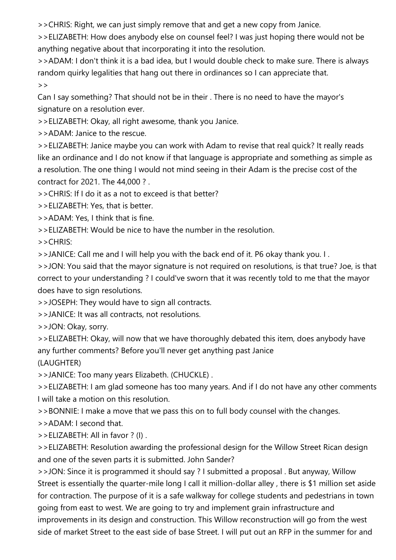>>CHRIS: Right, we can just simply remove that and get a new copy from Janice.

>>ELIZABETH: How does anybody else on counsel feel? I was just hoping there would not be anything negative about that incorporating it into the resolution.

>>ADAM: I don't think it is a bad idea, but I would double check to make sure. There is always random quirky legalities that hang out there in ordinances so I can appreciate that.  $>$ 

Can I say something? That should not be in their . There is no need to have the mayor's signature on a resolution ever.

>>ELIZABETH: Okay, all right awesome, thank you Janice.

>>ADAM: Janice to the rescue.

>>ELIZABETH: Janice maybe you can work with Adam to revise that real quick? It really reads like an ordinance and I do not know if that language is appropriate and something as simple as a resolution. The one thing I would not mind seeing in their Adam is the precise cost of the contract for 2021. The 44,000 ? .

>>CHRIS: If I do it as a not to exceed is that better?

>>ELIZABETH: Yes, that is better.

>>ADAM: Yes, I think that is fine.

>>ELIZABETH: Would be nice to have the number in the resolution.

>>CHRIS:

>>JANICE: Call me and I will help you with the back end of it. P6 okay thank you. I .

>>JON: You said that the mayor signature is not required on resolutions, is that true? Joe, is that correct to your understanding ? I could've sworn that it was recently told to me that the mayor does have to sign resolutions.

>>JOSEPH: They would have to sign all contracts.

>>JANICE: It was all contracts, not resolutions.

>>JON: Okay, sorry.

>>ELIZABETH: Okay, will now that we have thoroughly debated this item, does anybody have any further comments? Before you'll never get anything past Janice

(LAUGHTER)

>>JANICE: Too many years Elizabeth. (CHUCKLE) .

>>ELIZABETH: I am glad someone has too many years. And if I do not have any other comments I will take a motion on this resolution.

>>BONNIE: I make a move that we pass this on to full body counsel with the changes.

>>ADAM: I second that.

>>ELIZABETH: All in favor ? (I) .

>>ELIZABETH: Resolution awarding the professional design for the Willow Street Rican design and one of the seven parts it is submitted. John Sander?

>>JON: Since it is programmed it should say ? I submitted a proposal . But anyway, Willow Street is essentially the quarter-mile long I call it million-dollar alley , there is \$1 million set aside for contraction. The purpose of it is a safe walkway for college students and pedestrians in town going from east to west. We are going to try and implement grain infrastructure and improvements in its design and construction. This Willow reconstruction will go from the west side of market Street to the east side of base Street. I will put out an RFP in the summer for and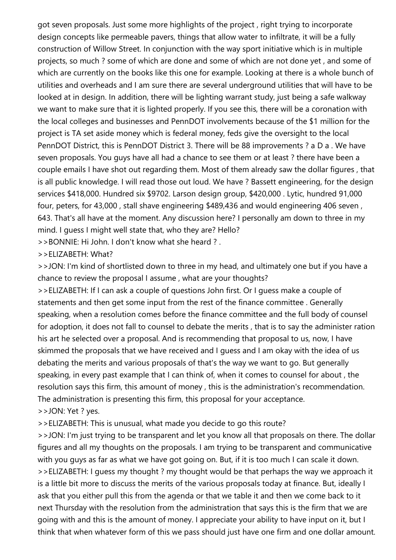got seven proposals. Just some more highlights of the project , right trying to incorporate design concepts like permeable pavers, things that allow water to infiltrate, it will be a fully construction of Willow Street. In conjunction with the way sport initiative which is in multiple projects, so much ? some of which are done and some of which are not done yet , and some of which are currently on the books like this one for example. Looking at there is a whole bunch of utilities and overheads and I am sure there are several underground utilities that will have to be looked at in design. In addition, there will be lighting warrant study, just being a safe walkway we want to make sure that it is lighted properly. If you see this, there will be a coronation with the local colleges and businesses and PennDOT involvements because of the \$1 million for the project is TA set aside money which is federal money, feds give the oversight to the local PennDOT District, this is PennDOT District 3. There will be 88 improvements ? a D a . We have seven proposals. You guys have all had a chance to see them or at least ? there have been a couple emails I have shot out regarding them. Most of them already saw the dollar figures , that is all public knowledge. I will read those out loud. We have ? Bassett engineering, for the design services \$418,000. Hundred six \$9702. Larson design group, \$420,000 . Lytic, hundred 91,000 four, peters, for 43,000 , stall shave engineering \$489,436 and would engineering 406 seven , 643. That's all have at the moment. Any discussion here? I personally am down to three in my mind. I guess I might well state that, who they are? Hello?

>>BONNIE: Hi John. I don't know what she heard ? .

>>ELIZABETH: What?

>>JON: I'm kind of shortlisted down to three in my head, and ultimately one but if you have a chance to review the proposal I assume , what are your thoughts?

>>ELIZABETH: If I can ask a couple of questions John first. Or I guess make a couple of statements and then get some input from the rest of the finance committee . Generally speaking, when a resolution comes before the finance committee and the full body of counsel for adoption, it does not fall to counsel to debate the merits , that is to say the administer ration his art he selected over a proposal. And is recommending that proposal to us, now, I have skimmed the proposals that we have received and I guess and I am okay with the idea of us debating the merits and various proposals of that's the way we want to go. But generally speaking, in every past example that I can think of, when it comes to counsel for about , the resolution says this firm, this amount of money , this is the administration's recommendation. The administration is presenting this firm, this proposal for your acceptance. >>JON: Yet ? yes.

>>ELIZABETH: This is unusual, what made you decide to go this route?

>>JON: I'm just trying to be transparent and let you know all that proposals on there. The dollar figures and all my thoughts on the proposals. I am trying to be transparent and communicative with you guys as far as what we have got going on. But, if it is too much I can scale it down. >>ELIZABETH: I guess my thought ? my thought would be that perhaps the way we approach it is a little bit more to discuss the merits of the various proposals today at finance. But, ideally I ask that you either pull this from the agenda or that we table it and then we come back to it next Thursday with the resolution from the administration that says this is the firm that we are going with and this is the amount of money. I appreciate your ability to have input on it, but I think that when whatever form of this we pass should just have one firm and one dollar amount.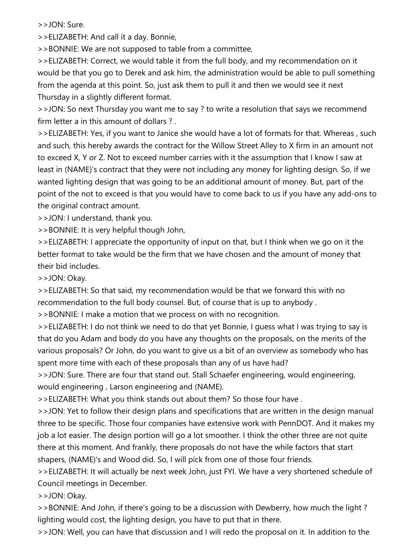>>JON: Sure.

>>ELIZABETH: And call it a day. Bonnie,

>>BONNIE: We are not supposed to table from a committee,

>>ELIZABETH: Correct, we would table it from the full body, and my recommendation on it would be that you go to Derek and ask him, the administration would be able to pull something from the agenda at this point. So, just ask them to pull it and then we would see it next Thursday in a slightly different format.

>>JON: So next Thursday you want me to say ? to write a resolution that says we recommend firm letter a in this amount of dollars ?

>>ELIZABETH: Yes, if you want to Janice she would have a lot of formats for that. Whereas , such and such, this hereby awards the contract for the Willow Street Alley to X firm in an amount not to exceed X, Y or Z. Not to exceed number carries with it the assumption that I know I saw at least in (NAME)'s contract that they were not including any money for lighting design. So, if we wanted lighting design that was going to be an additional amount of money. But, part of the point of the not to exceed is that you would have to come back to us if you have any add-ons to the original contract amount.

>>JON: I understand, thank you.

>>BONNIE: It is very helpful though John,

>>ELIZABETH: I appreciate the opportunity of input on that, but I think when we go on it the better format to take would be the firm that we have chosen and the amount of money that their bid includes.

>>JON: Okay.

>>ELIZABETH: So that said, my recommendation would be that we forward this with no recommendation to the full body counsel. But, of course that is up to anybody .

>>BONNIE: I make a motion that we process on with no recognition.

>>ELIZABETH: I do not think we need to do that yet Bonnie, I guess what I was trying to say is that do you Adam and body do you have any thoughts on the proposals, on the merits of the various proposals? Or John, do you want to give us a bit of an overview as somebody who has spent more time with each of these proposals than any of us have had?

>>JON: Sure. There are four that stand out. Stall Schaefer engineering, would engineering, would engineering , Larson engineering and (NAME).

>>ELIZABETH: What you think stands out about them? So those four have .

>>JON: Yet to follow their design plans and specifications that are written in the design manual three to be specific. Those four companies have extensive work with PennDOT. And it makes my job a lot easier. The design portion will go a lot smoother. I think the other three are not quite there at this moment. And frankly, there proposals do not have the while factors that start shapers, (NAME)'s and Wood did. So, I will pick from one of those four friends.

>>ELIZABETH: It will actually be next week John, just FYI. We have a very shortened schedule of Council meetings in December.

>>JON: Okay.

>>BONNIE: And John, if there's going to be a discussion with Dewberry, how much the light ? lighting would cost, the lighting design, you have to put that in there.

>>JON: Well, you can have that discussion and I will redo the proposal on it. In addition to the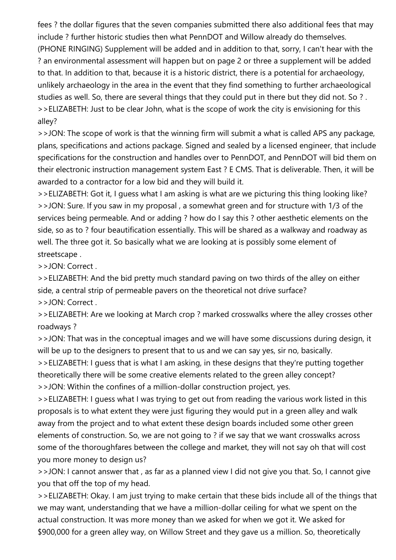fees ? the dollar figures that the seven companies submitted there also additional fees that may include ? further historic studies then what PennDOT and Willow already do themselves.

(PHONE RINGING) Supplement will be added and in addition to that, sorry, I can't hear with the ? an environmental assessment will happen but on page 2 or three a supplement will be added to that. In addition to that, because it is a historic district, there is a potential for archaeology, unlikely archaeology in the area in the event that they find something to further archaeological studies as well. So, there are several things that they could put in there but they did not. So ? . >>ELIZABETH: Just to be clear John, what is the scope of work the city is envisioning for this alley?

>>JON: The scope of work is that the winning firm will submit a what is called APS any package, plans, specifications and actions package. Signed and sealed by a licensed engineer, that include specifications for the construction and handles over to PennDOT, and PennDOT will bid them on their electronic instruction management system East ? E CMS. That is deliverable. Then, it will be awarded to a contractor for a low bid and they will build it.

>>ELIZABETH: Got it, I guess what I am asking is what are we picturing this thing looking like? >>JON: Sure. If you saw in my proposal , a somewhat green and for structure with 1/3 of the services being permeable. And or adding ? how do I say this ? other aesthetic elements on the side, so as to ? four beautification essentially. This will be shared as a walkway and roadway as well. The three got it. So basically what we are looking at is possibly some element of streetscape .

>>JON: Correct .

>>ELIZABETH: And the bid pretty much standard paving on two thirds of the alley on either side, a central strip of permeable pavers on the theoretical not drive surface? >>JON: Correct .

>>ELIZABETH: Are we looking at March crop ? marked crosswalks where the alley crosses other roadways ?

>>JON: That was in the conceptual images and we will have some discussions during design, it will be up to the designers to present that to us and we can say yes, sir no, basically.

>>ELIZABETH: I guess that is what I am asking, in these designs that they're putting together theoretically there will be some creative elements related to the green alley concept?

>>JON: Within the confines of a million-dollar construction project, yes.

>>ELIZABETH: I guess what I was trying to get out from reading the various work listed in this proposals is to what extent they were just figuring they would put in a green alley and walk away from the project and to what extent these design boards included some other green elements of construction. So, we are not going to ? if we say that we want crosswalks across some of the thoroughfares between the college and market, they will not say oh that will cost you more money to design us?

>>JON: I cannot answer that , as far as a planned view I did not give you that. So, I cannot give you that off the top of my head.

>>ELIZABETH: Okay. I am just trying to make certain that these bids include all of the things that we may want, understanding that we have a million-dollar ceiling for what we spent on the actual construction. It was more money than we asked for when we got it. We asked for \$900,000 for a green alley way, on Willow Street and they gave us a million. So, theoretically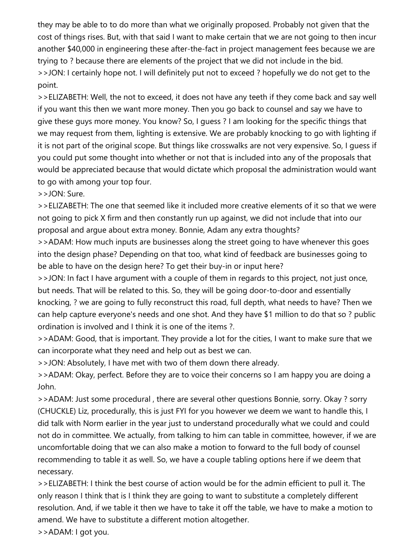they may be able to to do more than what we originally proposed. Probably not given that the cost of things rises. But, with that said I want to make certain that we are not going to then incur another \$40,000 in engineering these after-the-fact in project management fees because we are trying to ? because there are elements of the project that we did not include in the bid. >>JON: I certainly hope not. I will definitely put not to exceed ? hopefully we do not get to the point.

>>ELIZABETH: Well, the not to exceed, it does not have any teeth if they come back and say well if you want this then we want more money. Then you go back to counsel and say we have to give these guys more money. You know? So, I guess ? I am looking for the specific things that we may request from them, lighting is extensive. We are probably knocking to go with lighting if it is not part of the original scope. But things like crosswalks are not very expensive. So, I guess if you could put some thought into whether or not that is included into any of the proposals that would be appreciated because that would dictate which proposal the administration would want to go with among your top four.

>>JON: Sure.

>>ELIZABETH: The one that seemed like it included more creative elements of it so that we were not going to pick X firm and then constantly run up against, we did not include that into our proposal and argue about extra money. Bonnie, Adam any extra thoughts?

>>ADAM: How much inputs are businesses along the street going to have whenever this goes into the design phase? Depending on that too, what kind of feedback are businesses going to be able to have on the design here? To get their buy-in or input here?

>>JON: In fact I have argument with a couple of them in regards to this project, not just once, but needs. That will be related to this. So, they will be going door-to-door and essentially knocking, ? we are going to fully reconstruct this road, full depth, what needs to have? Then we can help capture everyone's needs and one shot. And they have \$1 million to do that so ? public ordination is involved and I think it is one of the items ?.

>>ADAM: Good, that is important. They provide a lot for the cities, I want to make sure that we can incorporate what they need and help out as best we can.

>>JON: Absolutely, I have met with two of them down there already.

>>ADAM: Okay, perfect. Before they are to voice their concerns so I am happy you are doing a John.

>>ADAM: Just some procedural , there are several other questions Bonnie, sorry. Okay ? sorry (CHUCKLE) Liz, procedurally, this is just FYI for you however we deem we want to handle this, I did talk with Norm earlier in the year just to understand procedurally what we could and could not do in committee. We actually, from talking to him can table in committee, however, if we are uncomfortable doing that we can also make a motion to forward to the full body of counsel recommending to table it as well. So, we have a couple tabling options here if we deem that necessary.

>>ELIZABETH: I think the best course of action would be for the admin efficient to pull it. The only reason I think that is I think they are going to want to substitute a completely different resolution. And, if we table it then we have to take it off the table, we have to make a motion to amend. We have to substitute a different motion altogether.

>>ADAM: I got you.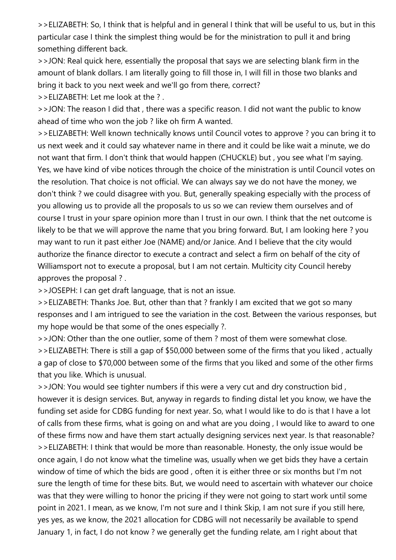>>ELIZABETH: So, I think that is helpful and in general I think that will be useful to us, but in this particular case I think the simplest thing would be for the ministration to pull it and bring something different back.

>>JON: Real quick here, essentially the proposal that says we are selecting blank firm in the amount of blank dollars. I am literally going to fill those in, I will fill in those two blanks and bring it back to you next week and we'll go from there, correct?

>>ELIZABETH: Let me look at the ? .

>>JON: The reason I did that , there was a specific reason. I did not want the public to know ahead of time who won the job ? like oh firm A wanted.

>>ELIZABETH: Well known technically knows until Council votes to approve ? you can bring it to us next week and it could say whatever name in there and it could be like wait a minute, we do not want that firm. I don't think that would happen (CHUCKLE) but , you see what I'm saying. Yes, we have kind of vibe notices through the choice of the ministration is until Council votes on the resolution. That choice is not official. We can always say we do not have the money, we don't think ? we could disagree with you. But, generally speaking especially with the process of you allowing us to provide all the proposals to us so we can review them ourselves and of course I trust in your spare opinion more than I trust in our own. I think that the net outcome is likely to be that we will approve the name that you bring forward. But, I am looking here ? you may want to run it past either Joe (NAME) and/or Janice. And I believe that the city would authorize the finance director to execute a contract and select a firm on behalf of the city of Williamsport not to execute a proposal, but I am not certain. Multicity city Council hereby approves the proposal ? .

>>JOSEPH: I can get draft language, that is not an issue.

>>ELIZABETH: Thanks Joe. But, other than that ? frankly I am excited that we got so many responses and I am intrigued to see the variation in the cost. Between the various responses, but my hope would be that some of the ones especially ?.

>>JON: Other than the one outlier, some of them ? most of them were somewhat close.

>>ELIZABETH: There is still a gap of \$50,000 between some of the firms that you liked , actually a gap of close to \$70,000 between some of the firms that you liked and some of the other firms that you like. Which is unusual.

>>JON: You would see tighter numbers if this were a very cut and dry construction bid , however it is design services. But, anyway in regards to finding distal let you know, we have the funding set aside for CDBG funding for next year. So, what I would like to do is that I have a lot of calls from these firms, what is going on and what are you doing , I would like to award to one of these firms now and have them start actually designing services next year. Is that reasonable? >>ELIZABETH: I think that would be more than reasonable. Honesty, the only issue would be once again, I do not know what the timeline was, usually when we get bids they have a certain window of time of which the bids are good , often it is either three or six months but I'm not sure the length of time for these bits. But, we would need to ascertain with whatever our choice was that they were willing to honor the pricing if they were not going to start work until some point in 2021. I mean, as we know, I'm not sure and I think Skip, I am not sure if you still here, yes yes, as we know, the 2021 allocation for CDBG will not necessarily be available to spend January 1, in fact, I do not know ? we generally get the funding relate, am I right about that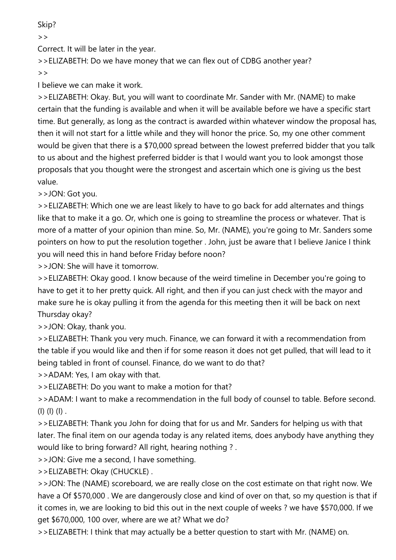Skip?

 $>$ 

Correct. It will be later in the year.

>>ELIZABETH: Do we have money that we can flex out of CDBG another year?  $\rightarrow$ 

I believe we can make it work.

>>ELIZABETH: Okay. But, you will want to coordinate Mr. Sander with Mr. (NAME) to make certain that the funding is available and when it will be available before we have a specific start time. But generally, as long as the contract is awarded within whatever window the proposal has, then it will not start for a little while and they will honor the price. So, my one other comment would be given that there is a \$70,000 spread between the lowest preferred bidder that you talk to us about and the highest preferred bidder is that I would want you to look amongst those proposals that you thought were the strongest and ascertain which one is giving us the best value.

>>JON: Got you.

>>ELIZABETH: Which one we are least likely to have to go back for add alternates and things like that to make it a go. Or, which one is going to streamline the process or whatever. That is more of a matter of your opinion than mine. So, Mr. (NAME), you're going to Mr. Sanders some pointers on how to put the resolution together . John, just be aware that I believe Janice I think you will need this in hand before Friday before noon?

>>JON: She will have it tomorrow.

>>ELIZABETH: Okay good. I know because of the weird timeline in December you're going to have to get it to her pretty quick. All right, and then if you can just check with the mayor and make sure he is okay pulling it from the agenda for this meeting then it will be back on next Thursday okay?

>>JON: Okay, thank you.

>>ELIZABETH: Thank you very much. Finance, we can forward it with a recommendation from the table if you would like and then if for some reason it does not get pulled, that will lead to it being tabled in front of counsel. Finance, do we want to do that?

>>ADAM: Yes, I am okay with that.

>>ELIZABETH: Do you want to make a motion for that?

>>ADAM: I want to make a recommendation in the full body of counsel to table. Before second. (I) (I) (I) .

>>ELIZABETH: Thank you John for doing that for us and Mr. Sanders for helping us with that later. The final item on our agenda today is any related items, does anybody have anything they would like to bring forward? All right, hearing nothing ? .

>>JON: Give me a second, I have something.

>>ELIZABETH: Okay (CHUCKLE) .

>>JON: The (NAME) scoreboard, we are really close on the cost estimate on that right now. We have a Of \$570,000 . We are dangerously close and kind of over on that, so my question is that if it comes in, we are looking to bid this out in the next couple of weeks ? we have \$570,000. If we get \$670,000, 100 over, where are we at? What we do?

>>ELIZABETH: I think that may actually be a better question to start with Mr. (NAME) on.